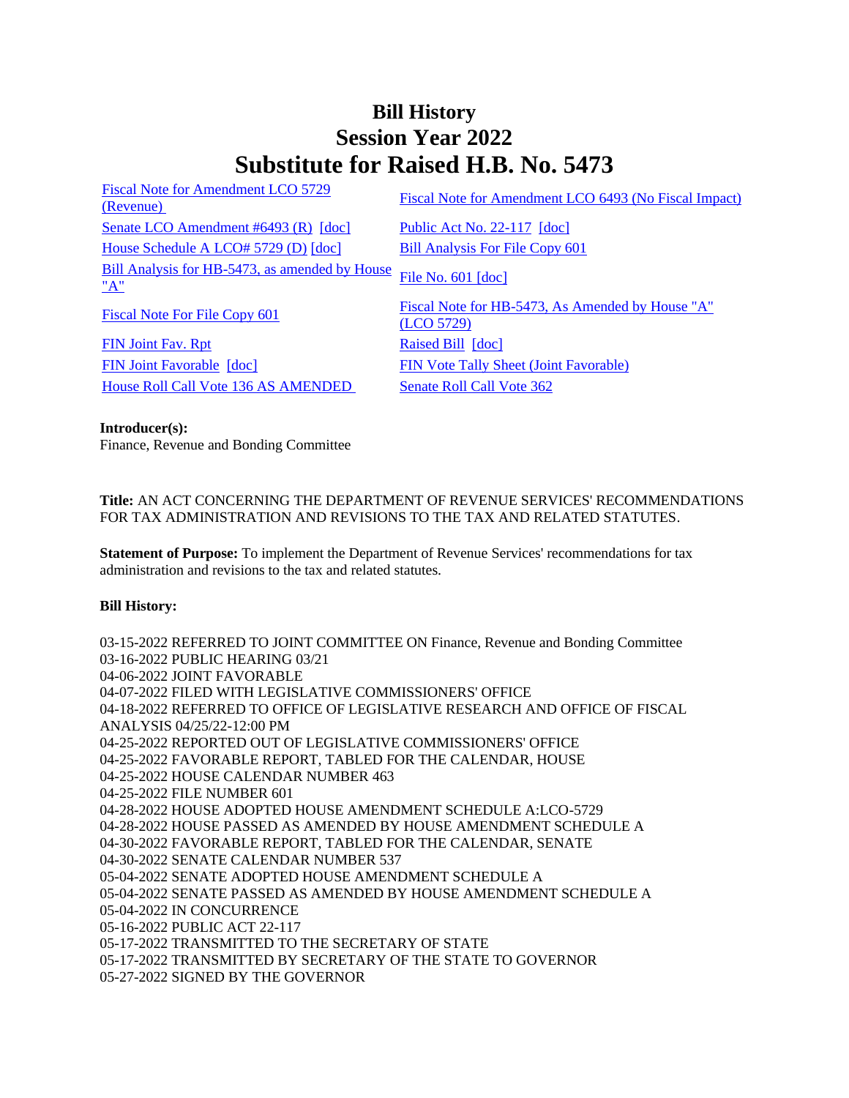## **Bill History Session Year 2022 Substitute for Raised H.B. No. 5473**

| Fiscal Note for Amendment LCO 5729<br>(Revenue)       | Fiscal Note for Amendment LCO 6493 (No Fiscal Impact)          |
|-------------------------------------------------------|----------------------------------------------------------------|
| Senate LCO Amendment #6493 (R) [doc]                  | Public Act No. 22-117 [doc]                                    |
| House Schedule A LCO# 5729 (D) [doc]                  | <b>Bill Analysis For File Copy 601</b>                         |
| Bill Analysis for HB-5473, as amended by House<br>"A" | File No. 601 [doc]                                             |
| Fiscal Note For File Copy 601                         | Fiscal Note for HB-5473, As Amended by House "A"<br>(LCO 5729) |
| <b>FIN Joint Fav. Rpt</b>                             | Raised Bill [doc]                                              |
| FIN Joint Favorable [doc]                             | <b>FIN Vote Tally Sheet (Joint Favorable)</b>                  |
| House Roll Call Vote 136 AS AMENDED                   | Senate Roll Call Vote 362                                      |

**Introducer(s):** Finance, Revenue and Bonding Committee

**Title:** AN ACT CONCERNING THE DEPARTMENT OF REVENUE SERVICES' RECOMMENDATIONS FOR TAX ADMINISTRATION AND REVISIONS TO THE TAX AND RELATED STATUTES.

**Statement of Purpose:** To implement the Department of Revenue Services' recommendations for tax administration and revisions to the tax and related statutes.

## **Bill History:**

03-15-2022 REFERRED TO JOINT COMMITTEE ON Finance, Revenue and Bonding Committee 03-16-2022 PUBLIC HEARING 03/21 04-06-2022 JOINT FAVORABLE 04-07-2022 FILED WITH LEGISLATIVE COMMISSIONERS' OFFICE 04-18-2022 REFERRED TO OFFICE OF LEGISLATIVE RESEARCH AND OFFICE OF FISCAL ANALYSIS 04/25/22-12:00 PM 04-25-2022 REPORTED OUT OF LEGISLATIVE COMMISSIONERS' OFFICE 04-25-2022 FAVORABLE REPORT, TABLED FOR THE CALENDAR, HOUSE 04-25-2022 HOUSE CALENDAR NUMBER 463 04-25-2022 FILE NUMBER 601 04-28-2022 HOUSE ADOPTED HOUSE AMENDMENT SCHEDULE A:LCO-5729 04-28-2022 HOUSE PASSED AS AMENDED BY HOUSE AMENDMENT SCHEDULE A 04-30-2022 FAVORABLE REPORT, TABLED FOR THE CALENDAR, SENATE 04-30-2022 SENATE CALENDAR NUMBER 537 05-04-2022 SENATE ADOPTED HOUSE AMENDMENT SCHEDULE A 05-04-2022 SENATE PASSED AS AMENDED BY HOUSE AMENDMENT SCHEDULE A 05-04-2022 IN CONCURRENCE 05-16-2022 PUBLIC ACT 22-117 05-17-2022 TRANSMITTED TO THE SECRETARY OF STATE 05-17-2022 TRANSMITTED BY SECRETARY OF THE STATE TO GOVERNOR 05-27-2022 SIGNED BY THE GOVERNOR